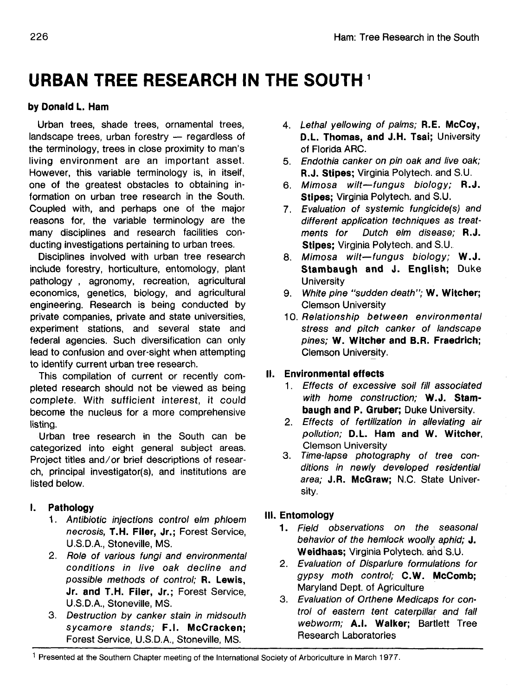# **URBAN TREE RESEARCH IN THE SOUTH**

## **by Donald L. Ham**

Urban trees, shade trees, ornamental trees, landscape trees, urban forestry — regardless of the terminology, trees in close proximity to man's living environment are an important asset. However, this variable terminology is, in itself, one of the greatest obstacles to obtaining information on urban tree research in the South. Coupled with, and perhaps one of the major reasons for, the variable terminology are the many disciplines and research facilities conducting investigations pertaining to urban trees.

Disciplines involved with urban tree research include forestry, horticulture, entomology, plant pathology , agronomy, recreation, agricultural economics, genetics, biology, and agricultural engineering. Research is being conducted by private companies, private and state universities, experiment stations, and several state and federal agencies. Such diversification can only lead to confusion and over-sight when attempting to identify current urban tree research.

This compilation of current or recently completed research should not be viewed as being complete. With sufficient interest, it could become the nucleus for a more comprehensive listing.

Urban tree research in the South can be categorized into eight general subject areas. Project titles and/or brief descriptions of resear $ch$ , principal investigator(s), and institutions are listed below.

## **I. Pathology**

- 1. Antibiotic injections control elm phloem necrosis, **T.H. Filer, Jr.;** Forest Service, U.S.D.A, Stoneville, MS.
- 2. Role of various fungi and environmental conditions in live oak decline and possible methods of control; **R. Lewis, Jr. and T.H. Filer, Jr.;** Forest Service, U.S.D.A., Stoneville, MS.
- 3. Destruction by canker stain in midsouth sycamore stands; **F.I. McCracken;** Forest Service, U.S.D.A., Stoneville, MS.
- 4. Lethal yellowing of palms; **R.E. McCoy, D.L. Thomas, and J.H. Tsai;** University of Florida ARC.
- 5. Endothia canker on pin oak and live oak; **R.J. Stipes;** Virginia Polytech. and S.U.
- 6. Mimosa wilt—fungus biology; R.J. **Stipes;** Virginia Polytech. and S.U.
- 7. Evaluation of systemic fungicide(s) and different application techniques as treatments for Dutch elm disease; R.J. **Stipes;** Virginia Polytech. and S.U.
- 8. Mimosa wilt—fungus biology; W.J. **Stambaugh and J. English;** Duke **University**
- 9. White pine "sudden death"; **W. Witcher;** Clemson University
- 10. Relationship between environmental stress and pitch canker of landscape pines; **W. Witcher and B.R. Fraedrich;** Clemson University.

## **II. Environmental effects**

- 1. Effects of excessive soil fill associated with home construction; **W.J. Stambaugh and P. Gruber;** Duke University.
- 2. Effects of fertilization in alleviating air pollution; **D.L. Ham and W. Witcher,** Clemson University
- 3. Time-lapse photography of tree conditions in newly developed residential area; **J.R. McGraw;** N.C. State University.

## **III. Entomology**

- 1. Field observations on the seasonal behavior of the hemlock woolly aphid; J. **Weidhaas;** Virginia Polytech. and S.U.
- 2. Evaluation of Disparlure formulations for gypsy moth control; **C.W. McComb;** Maryland Dept. of Agriculture
- 3. Evaluation of Orthene Medicaps for control of eastern tent caterpillar and fall webworm; **A.I. Walker;** Bartlett Tree Research Laboratories

<sup>&</sup>lt;sup>1</sup> Presented at the Southern Chapter meeting of the International Society of Arboriculture in March 1977.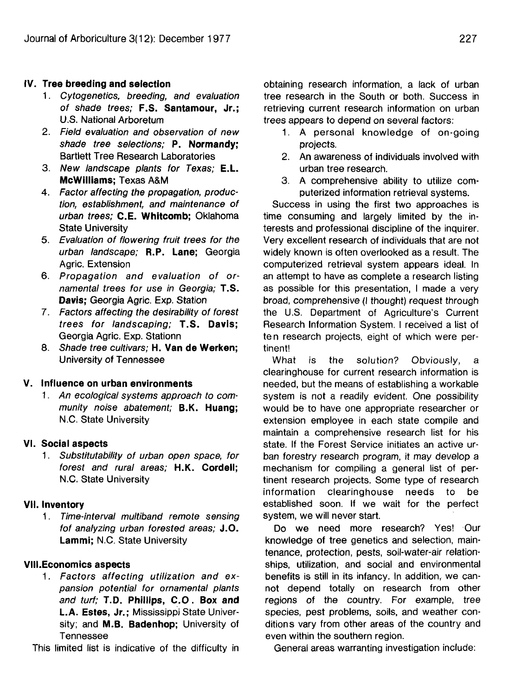### **IV. Tree breeding and selection**

- 1. Cytogenetics, breeding, and evaluation of shade trees; **F.S. Santamour, Jr.;** U.S. National Arboretum
- 2. Field evaluation and observation of new shade tree selections; **P. Normandy;** Bartlett Tree Research Laboratories
- 3. New landscape plants for Texas; E.L. **McWilliams;** Texas A&M
- 4. Factor affecting the propagation, production, establishment, and maintenance of urban trees; **C.E. Whitcomb;** Oklahoma State University
- 5. Evaluation of flowering fruit trees for the urban landscape; **R.P. Lane;** Georgia Agric. Extension
- 6. Propagation and evaluation of ornamental trees for use in Georgia; T.S. **Davis;** Georgia Agric. Exp. Station
- 7. Factors affecting the desirability of forest trees for landscaping; **T.S. Davis;** Georgia Agric. Exp. Stationn
- 8. Shade tree cultivars; **H. Van de Werken;** University of Tennessee

#### **V. Influence on urban environments**

1. An ecological systems approach to community noise abatement; **B.K. Huang;** N.C. State University

#### **VI. Social aspects**

1. Substitutability of urban open space, for forest and rural areas; **H.K. Cordell;** N.C. State University

#### **VII. Inventory**

1. Time-interval multiband remote sensing fof analyzing urban forested areas; J.O. **Lammi;** N.C. State University

#### **VIII.Economics aspects**

1. Factors affecting utilization and expansion potential for ornamental plants and turf; T.D. Phillips, C.O. Box and **L.A. Estes, Jr.;** Mississippi State University; and **M.B. Badenhop;** University of Tennessee

This limited list is indicative of the difficulty in

obtaining research information, a lack of urban tree research in the South or both. Success in retrieving current research information on urban trees appears to depend on several factors:

- 1. A personal knowledge of on-going projects.
- 2. An awareness of individuals involved with urban tree research.
- 3. A comprehensive ability to utilize computerized information retrieval systems.

Success in using the first two approaches is time consuming and largely limited by the interests and professional discipline of the inquirer. Very excellent research of individuals that are not widely known is often overlooked as a result. The computerized retrieval system appears ideal. In an attempt to have as complete a research listing as possible for this presentation, I made a very broad, comprehensive (I thought) request through the U.S. Department of Agriculture's Current Research Information System. I received a list of ten research projects, eight of which were pertinent!

What is the solution? Obviously, a clearinghouse for current research information is needed, but the means of establishing a workable system is not a readily evident. One possibility would be to have one appropriate researcher or extension employee in each state compile and maintain a comprehensive research list for his state. If the Forest Service initiates an active urban forestry research program, it may develop a mechanism for compiling a general list of pertinent research projects. Some type of research information clearinghouse needs to be established soon. If we wait for the perfect system, we will never start.

Do we need more research? Yes! Our knowledge of tree genetics and selection, maintenance, protection, pests, soil-water-air relationships, utilization, and social and environmental benefits is still in its infancy. In addition, we cannot depend totally on research from other regions of the country. For example, tree species, pest problems, soils, and weather conditions vary from other areas of the country and even within the southern region.

General areas warranting investigation include: